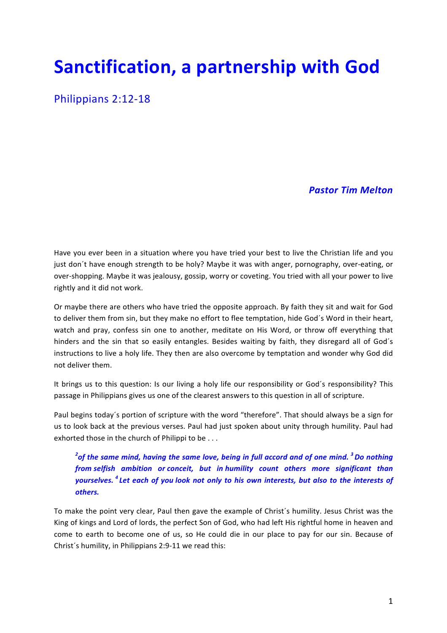# **Sanctification, a partnership with God**

Philippians 2:12-18

## *Pastor Tim Melton*

Have you ever been in a situation where you have tried your best to live the Christian life and you just don't have enough strength to be holy? Maybe it was with anger, pornography, over-eating, or over-shopping. Maybe it was jealousy, gossip, worry or coveting. You tried with all your power to live rightly and it did not work.

Or maybe there are others who have tried the opposite approach. By faith they sit and wait for God to deliver them from sin, but they make no effort to flee temptation, hide God's Word in their heart, watch and pray, confess sin one to another, meditate on His Word, or throw off everything that hinders and the sin that so easily entangles. Besides waiting by faith, they disregard all of God's instructions to live a holy life. They then are also overcome by temptation and wonder why God did not deliver them.

It brings us to this question: Is our living a holy life our responsibility or God's responsibility? This passage in Philippians gives us one of the clearest answers to this question in all of scripture.

Paul begins today's portion of scripture with the word "therefore". That should always be a sign for us to look back at the previous verses. Paul had just spoken about unity through humility. Paul had exhorted those in the church of Philippi to be  $\dots$ 

 $^2$ of the same mind, having the same love, being in full accord and of one mind.  $^3$  Do nothing  $\,$ *from selfish ambition or conceit, but in humility count others more significant than yourselves.* <sup>4</sup> Let each of you look not only to his own interests, but also to the interests of *others.*

To make the point very clear, Paul then gave the example of Christ's humility. Jesus Christ was the King of kings and Lord of lords, the perfect Son of God, who had left His rightful home in heaven and come to earth to become one of us, so He could die in our place to pay for our sin. Because of Christ's humility, in Philippians 2:9-11 we read this: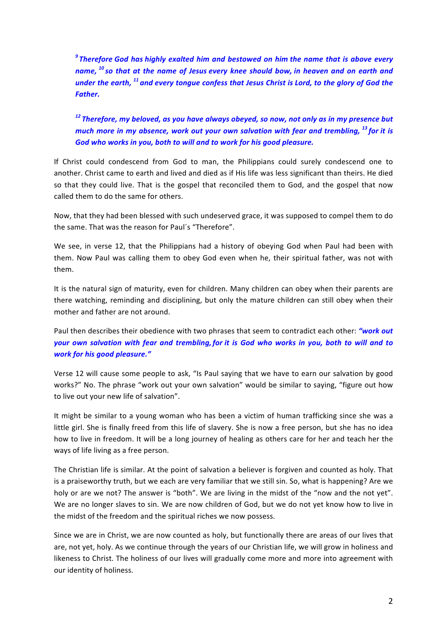<sup>9</sup> Therefore God has highly exalted him and bestowed on him the name that is above every *name,* <sup>10</sup> so that at the name of Jesus every knee should bow, in heaven and on earth and *under* the earth, <sup>11</sup> and every tongue confess that Jesus Christ is Lord, to the glory of God the *Father.*

<sup>12</sup> Therefore, my beloved, as you have always obeyed, so now, not only as in my presence but *much more in my absence, work out your own salvation with fear and trembling, <sup>13</sup> for it is* God who works in you, both to will and to work for his good pleasure.

If Christ could condescend from God to man, the Philippians could surely condescend one to another. Christ came to earth and lived and died as if His life was less significant than theirs. He died so that they could live. That is the gospel that reconciled them to God, and the gospel that now called them to do the same for others.

Now, that they had been blessed with such undeserved grace, it was supposed to compel them to do the same. That was the reason for Paul's "Therefore".

We see, in verse 12, that the Philippians had a history of obeying God when Paul had been with them. Now Paul was calling them to obey God even when he, their spiritual father, was not with them. 

It is the natural sign of maturity, even for children. Many children can obey when their parents are there watching, reminding and disciplining, but only the mature children can still obey when their mother and father are not around.

Paul then describes their obedience with two phrases that seem to contradict each other: *"work out your* own salvation with fear and trembling, for it is God who works in you, both to will and to *work for his good pleasure."*

Verse 12 will cause some people to ask, "Is Paul saying that we have to earn our salvation by good works?" No. The phrase "work out your own salvation" would be similar to saying, "figure out how to live out your new life of salvation".

It might be similar to a young woman who has been a victim of human trafficking since she was a little girl. She is finally freed from this life of slavery. She is now a free person, but she has no idea how to live in freedom. It will be a long journey of healing as others care for her and teach her the ways of life living as a free person.

The Christian life is similar. At the point of salvation a believer is forgiven and counted as holy. That is a praiseworthy truth, but we each are very familiar that we still sin. So, what is happening? Are we holy or are we not? The answer is "both". We are living in the midst of the "now and the not yet". We are no longer slaves to sin. We are now children of God, but we do not yet know how to live in the midst of the freedom and the spiritual riches we now possess.

Since we are in Christ, we are now counted as holy, but functionally there are areas of our lives that are, not yet, holy. As we continue through the years of our Christian life, we will grow in holiness and likeness to Christ. The holiness of our lives will gradually come more and more into agreement with our identity of holiness.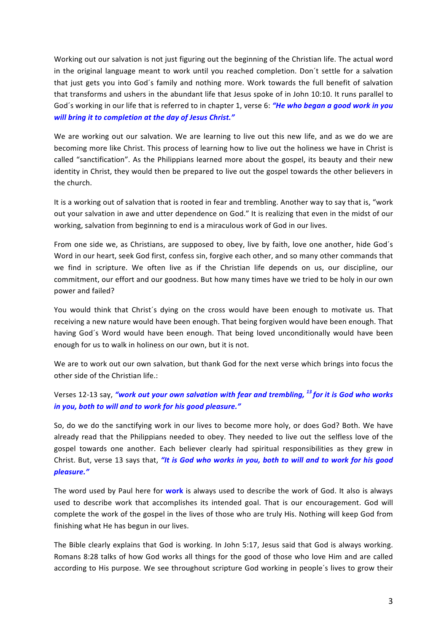Working out our salvation is not just figuring out the beginning of the Christian life. The actual word in the original language meant to work until you reached completion. Don't settle for a salvation that just gets you into God's family and nothing more. Work towards the full benefit of salvation that transforms and ushers in the abundant life that Jesus spoke of in John 10:10. It runs parallel to God's working in our life that is referred to in chapter 1, verse 6: "He who began a good work in you will bring it to completion at the day of *Jesus Christ."* 

We are working out our salvation. We are learning to live out this new life, and as we do we are becoming more like Christ. This process of learning how to live out the holiness we have in Christ is called "sanctification". As the Philippians learned more about the gospel, its beauty and their new identity in Christ, they would then be prepared to live out the gospel towards the other believers in the church.

It is a working out of salvation that is rooted in fear and trembling. Another way to say that is, "work out your salvation in awe and utter dependence on God." It is realizing that even in the midst of our working, salvation from beginning to end is a miraculous work of God in our lives.

From one side we, as Christians, are supposed to obey, live by faith, love one another, hide God's Word in our heart, seek God first, confess sin, forgive each other, and so many other commands that we find in scripture. We often live as if the Christian life depends on us, our discipline, our commitment, our effort and our goodness. But how many times have we tried to be holy in our own power and failed?

You would think that Christ's dying on the cross would have been enough to motivate us. That receiving a new nature would have been enough. That being forgiven would have been enough. That having God's Word would have been enough. That being loved unconditionally would have been enough for us to walk in holiness on our own, but it is not.

We are to work out our own salvation, but thank God for the next verse which brings into focus the other side of the Christian life.:

Verses 12-13 say, "work out your own salvation with fear and trembling, <sup>13</sup> for it is God who works *in you, both to will and to work for his good pleasure."* 

So, do we do the sanctifying work in our lives to become more holy, or does God? Both. We have already read that the Philippians needed to obey. They needed to live out the selfless love of the gospel towards one another. Each believer clearly had spiritual responsibilities as they grew in Christ. But, verse 13 says that, "It is God who works in you, both to will and to work for his good *pleasure."*

The word used by Paul here for work is always used to describe the work of God. It also is always used to describe work that accomplishes its intended goal. That is our encouragement. God will complete the work of the gospel in the lives of those who are truly His. Nothing will keep God from finishing what He has begun in our lives.

The Bible clearly explains that God is working. In John 5:17, Jesus said that God is always working. Romans 8:28 talks of how God works all things for the good of those who love Him and are called according to His purpose. We see throughout scripture God working in people's lives to grow their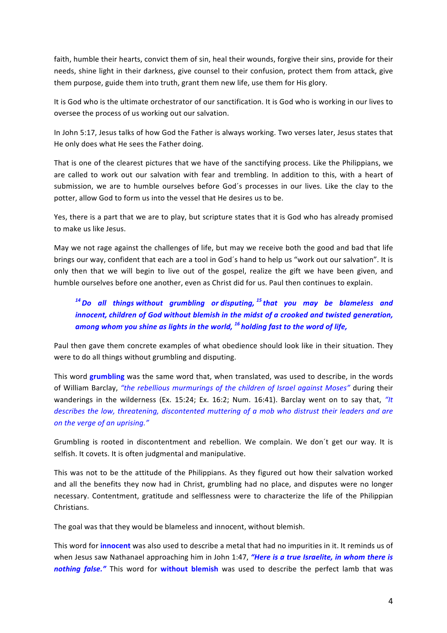faith, humble their hearts, convict them of sin, heal their wounds, forgive their sins, provide for their needs, shine light in their darkness, give counsel to their confusion, protect them from attack, give them purpose, guide them into truth, grant them new life, use them for His glory.

It is God who is the ultimate orchestrator of our sanctification. It is God who is working in our lives to oversee the process of us working out our salvation.

In John 5:17, Jesus talks of how God the Father is always working. Two verses later, Jesus states that He only does what He sees the Father doing.

That is one of the clearest pictures that we have of the sanctifying process. Like the Philippians, we are called to work out our salvation with fear and trembling. In addition to this, with a heart of submission, we are to humble ourselves before God's processes in our lives. Like the clay to the potter, allow God to form us into the vessel that He desires us to be.

Yes, there is a part that we are to play, but scripture states that it is God who has already promised to make us like Jesus.

May we not rage against the challenges of life, but may we receive both the good and bad that life brings our way, confident that each are a tool in God's hand to help us "work out our salvation". It is only then that we will begin to live out of the gospel, realize the gift we have been given, and humble ourselves before one another, even as Christ did for us. Paul then continues to explain.

## <sup>14</sup> Do all things without grumbling or disputing, <sup>15</sup> that you may be blameless and *innocent, children of God without blemish in the midst of a crooked and twisted generation, among whom you shine as lights in the world,* <sup>16</sup> holding fast to the word of life,

Paul then gave them concrete examples of what obedience should look like in their situation. They were to do all things without grumbling and disputing.

This word **grumbling** was the same word that, when translated, was used to describe, in the words of William Barclay, "the rebellious murmurings of the children of *Israel against Moses*" during their wanderings in the wilderness (Ex. 15:24; Ex. 16:2; Num. 16:41). Barclay went on to say that,  $H$ *describes the low, threatening, discontented muttering of a mob who distrust their leaders and are on the verge of an uprising."*

Grumbling is rooted in discontentment and rebellion. We complain. We don't get our way. It is selfish. It covets. It is often judgmental and manipulative.

This was not to be the attitude of the Philippians. As they figured out how their salvation worked and all the benefits they now had in Christ, grumbling had no place, and disputes were no longer necessary. Contentment, gratitude and selflessness were to characterize the life of the Philippian Christians. 

The goal was that they would be blameless and innocent, without blemish.

This word for *innocent* was also used to describe a metal that had no impurities in it. It reminds us of when Jesus saw Nathanael approaching him in John 1:47, "Here is a true Israelite, in whom there is *nothing false."* This word for without blemish was used to describe the perfect lamb that was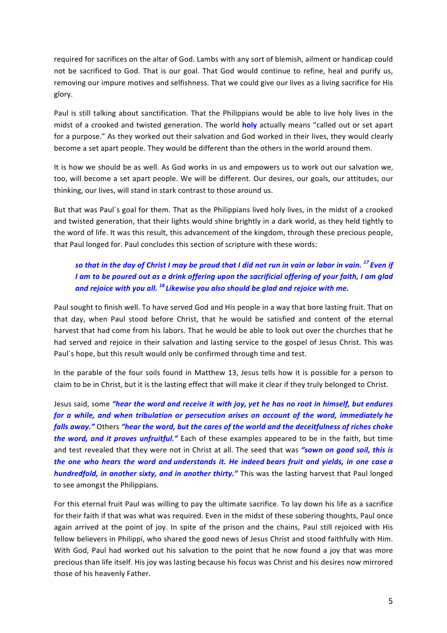required for sacrifices on the altar of God. Lambs with any sort of blemish, ailment or handicap could not be sacrificed to God. That is our goal. That God would continue to refine, heal and purify us, removing our impure motives and selfishness. That we could give our lives as a living sacrifice for His glory.

Paul is still talking about sanctification. That the Philippians would be able to live holy lives in the midst of a crooked and twisted generation. The world **holy** actually means "called out or set apart for a purpose." As they worked out their salvation and God worked in their lives, they would clearly become a set apart people. They would be different than the others in the world around them.

It is how we should be as well. As God works in us and empowers us to work out our salvation we, too, will become a set apart people. We will be different. Our desires, our goals, our attitudes, our thinking, our lives, will stand in stark contrast to those around us.

But that was Paul's goal for them. That as the Philippians lived holy lives, in the midst of a crooked and twisted generation, that their lights would shine brightly in a dark world, as they held tightly to the word of life. It was this result, this advancement of the kingdom, through these precious people, that Paul longed for. Paul concludes this section of scripture with these words:

#### *so* that in the day of Christ *I* may be proud that *I* did not run in vain or labor in vain. <sup>17</sup> Even if *I* am to be poured out as a drink offering upon the sacrificial offering of your faith, I am glad and rejoice with you all. <sup>18</sup> Likewise you also should be glad and rejoice with me.

Paul sought to finish well. To have served God and His people in a way that bore lasting fruit. That on that day, when Paul stood before Christ, that he would be satisfied and content of the eternal harvest that had come from his labors. That he would be able to look out over the churches that he had served and rejoice in their salvation and lasting service to the gospel of Jesus Christ. This was Paul's hope, but this result would only be confirmed through time and test.

In the parable of the four soils found in Matthew 13, Jesus tells how it is possible for a person to claim to be in Christ, but it is the lasting effect that will make it clear if they truly belonged to Christ.

Jesus said, some "hear the word and receive it with joy, yet he has no root in himself, but endures *for* a while, and when tribulation or persecution arises on account of the word, immediately he *falls away."* Others "hear the word, but the cares of the world and the deceitfulness of riches choke *the word, and it proves unfruitful."* Each of these examples appeared to be in the faith, but time and test revealed that they were not in Christ at all. The seed that was "sown on good soil, this is *the* one who hears the word and understands it. He indeed bears fruit and yields, in one case a *hundredfold, in another sixty, and in another thirty."* This was the lasting harvest that Paul longed to see amongst the Philippians.

For this eternal fruit Paul was willing to pay the ultimate sacrifice. To lay down his life as a sacrifice for their faith if that was what was required. Even in the midst of these sobering thoughts, Paul once again arrived at the point of joy. In spite of the prison and the chains, Paul still rejoiced with His fellow believers in Philippi, who shared the good news of Jesus Christ and stood faithfully with Him. With God, Paul had worked out his salvation to the point that he now found a joy that was more precious than life itself. His joy was lasting because his focus was Christ and his desires now mirrored those of his heavenly Father.